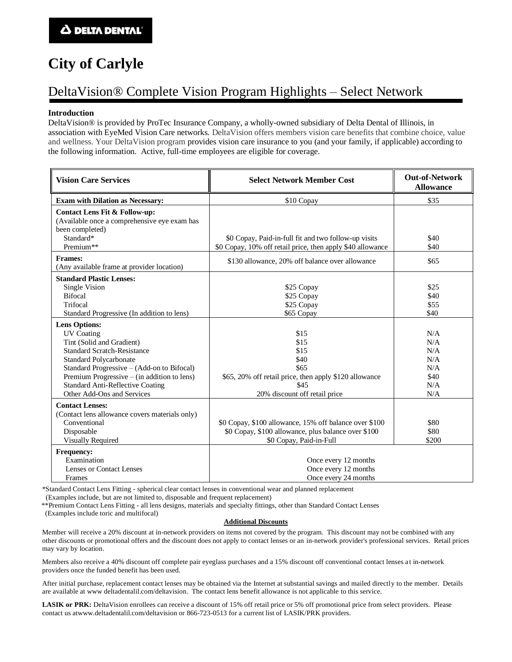# **City of Carlyle**

### DeltaVision® Complete Vision Program Highlights – Select Network

### **Introduction**

DeltaVision® is provided by ProTec Insurance Company, a wholly-owned subsidiary of Delta Dental of Illinois, in association with EyeMed Vision Care networks. DeltaVision offers members vision care benefits that combine choice, value and wellness. Your DeltaVision program provides vision care insurance to you (and your family, if applicable) according to the following information. Active, full-time employees are eligible for coverage.

| <b>Vision Care Services</b>                                                                                                                                                                                                                                                                                    | <b>Select Network Member Cost</b>                                                                                                                                                                                | <b>Out-of-Network</b><br><b>Allowance</b>             |
|----------------------------------------------------------------------------------------------------------------------------------------------------------------------------------------------------------------------------------------------------------------------------------------------------------------|------------------------------------------------------------------------------------------------------------------------------------------------------------------------------------------------------------------|-------------------------------------------------------|
| <b>Exam with Dilation as Necessary:</b>                                                                                                                                                                                                                                                                        | \$10 Copay                                                                                                                                                                                                       | \$35                                                  |
| Contact Lens Fit & Follow-up:<br>(Available once a comprehensive eye exam has<br>been completed)<br>Standard*                                                                                                                                                                                                  | \$0 Copay, Paid-in-full fit and two follow-up visits                                                                                                                                                             | \$40                                                  |
| Premium**                                                                                                                                                                                                                                                                                                      | \$0 Copay, 10% off retail price, then apply \$40 allowance                                                                                                                                                       | \$40                                                  |
| <b>Frames:</b><br>(Any available frame at provider location)                                                                                                                                                                                                                                                   | \$130 allowance, 20% off balance over allowance                                                                                                                                                                  | \$65                                                  |
| <b>Standard Plastic Lenses:</b>                                                                                                                                                                                                                                                                                |                                                                                                                                                                                                                  |                                                       |
| Single Vision<br><b>Bifocal</b><br>Trifocal                                                                                                                                                                                                                                                                    | \$25 Copay<br>\$25 Copay<br>\$25 Copay                                                                                                                                                                           | \$25<br>\$40<br>\$55                                  |
| Standard Progressive (In addition to lens)                                                                                                                                                                                                                                                                     | \$65 Copay                                                                                                                                                                                                       | \$40                                                  |
| <b>Lens Options:</b><br><b>UV</b> Coating<br>Tint (Solid and Gradient)<br><b>Standard Scratch-Resistance</b><br>Standard Polycarbonate<br>Standard Progressive – (Add-on to Bifocal)<br>Premium Progressive $-$ (in addition to lens)<br><b>Standard Anti-Reflective Coating</b><br>Other Add-Ons and Services | \$15<br>\$15<br>\$15<br>\$40<br>\$65<br>\$65, 20% off retail price, then apply \$120 allowance<br>\$45<br>20% discount off retail price                                                                          | N/A<br>N/A<br>N/A<br>N/A<br>N/A<br>\$40<br>N/A<br>N/A |
| <b>Contact Lenses:</b><br>(Contact lens allowance covers materials only)<br>Conventional<br>Disposable<br><b>Visually Required</b><br><b>Frequency:</b><br>Examination<br>Lenses or Contact Lenses<br>Frames                                                                                                   | \$0 Copay, \$100 allowance, 15% off balance over \$100<br>\$0 Copay, \$100 allowance, plus balance over \$100<br>\$0 Copay, Paid-in-Full<br>Once every 12 months<br>Once every 12 months<br>Once every 24 months | \$80<br>\$80<br>\$200                                 |

\*Standard Contact Lens Fitting - spherical clear contact lenses in conventional wear and planned replacement

(Examples include, but are not limited to, disposable and frequent replacement)

\*\*Premium Contact Lens Fitting - all lens designs, materials and specialty fittings, other than Standard Contact Lenses

(Examples include toric and multifocal)

#### **Additional Discounts**

Member will receive a 20% discount at in-network providers on items not covered by the program. This discount may not be combined with any other discounts or promotional offers and the discount does not apply to contact lenses or an in-network provider's professional services. Retail prices may vary by location.

Members also receive a 40% discount off complete pair eyeglass purchases and a 15% discount off conventional contact lenses a t in-network providers once the funded benefit has been used.

After initial purchase, replacement contact lenses may be obtained via the Internet at substantial savings and mailed directly to the member. Details are available at www deltadentalil.com/deltavision. The contact lens benefit allowance is not applicable to this service.

LASIK or PRK: DeltaVision enrollees can receive a discount of 15% off retail price or 5% off promotional price from select providers. Please contact us atwww.deltadentalil.com/deltavision or 866-723-0513 for a current list of LASIK/PRK providers.